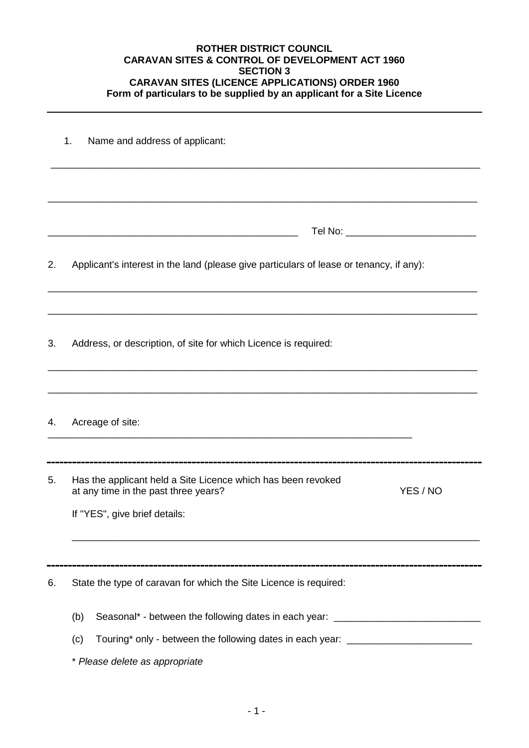## **ROTHER DISTRICT COUNCIL CARAVAN SITES & CONTROL OF DEVELOPMENT ACT 1960 SECTION 3 CARAVAN SITES (LICENCE APPLICATIONS) ORDER 1960 Form of particulars to be supplied by an applicant for a Site Licence**

|    | 1 <sub>1</sub><br>Name and address of applicant:                                                                                                                                                                     |  |  |  |  |  |
|----|----------------------------------------------------------------------------------------------------------------------------------------------------------------------------------------------------------------------|--|--|--|--|--|
|    |                                                                                                                                                                                                                      |  |  |  |  |  |
|    | Tel No: _______________________________                                                                                                                                                                              |  |  |  |  |  |
| 2. | Applicant's interest in the land (please give particulars of lease or tenancy, if any):                                                                                                                              |  |  |  |  |  |
| 3. | Address, or description, of site for which Licence is required:                                                                                                                                                      |  |  |  |  |  |
| 4. | Acreage of site:                                                                                                                                                                                                     |  |  |  |  |  |
| 5. | Has the applicant held a Site Licence which has been revoked<br>at any time in the past three years?<br>YES / NO                                                                                                     |  |  |  |  |  |
|    | If "YES", give brief details:                                                                                                                                                                                        |  |  |  |  |  |
| 6. | State the type of caravan for which the Site Licence is required:                                                                                                                                                    |  |  |  |  |  |
|    | Seasonal* - between the following dates in each year: __________________________<br>(b)<br>Touring* only - between the following dates in each year: ______________________<br>(c)<br>* Please delete as appropriate |  |  |  |  |  |